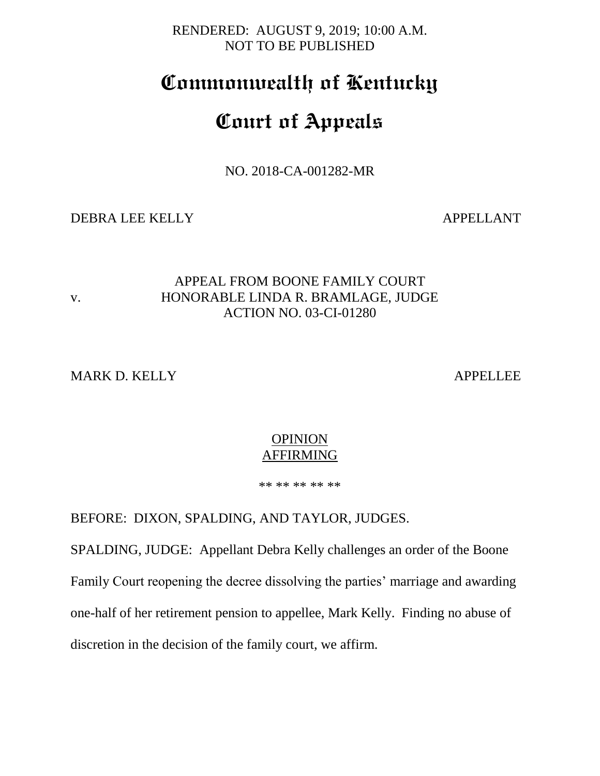RENDERED: AUGUST 9, 2019; 10:00 A.M. NOT TO BE PUBLISHED

# **Commonwealth of Kentucky**

# **Court of Appeals**

NO. 2018-CA-001282-MR

DEBRA LEE KELLY APPELLANT

# APPEAL FROM BOONE FAMILY COURT v. HONORABLE LINDA R. BRAMLAGE, JUDGE ACTION NO. 03-CI-01280

MARK D. KELLY APPELLEE

#### **OPINION** AFFIRMING

\*\* \*\* \*\* \*\* \*\*

BEFORE: DIXON, SPALDING, AND TAYLOR, JUDGES.

SPALDING, JUDGE: Appellant Debra Kelly challenges an order of the Boone Family Court reopening the decree dissolving the parties' marriage and awarding one-half of her retirement pension to appellee, Mark Kelly. Finding no abuse of discretion in the decision of the family court, we affirm.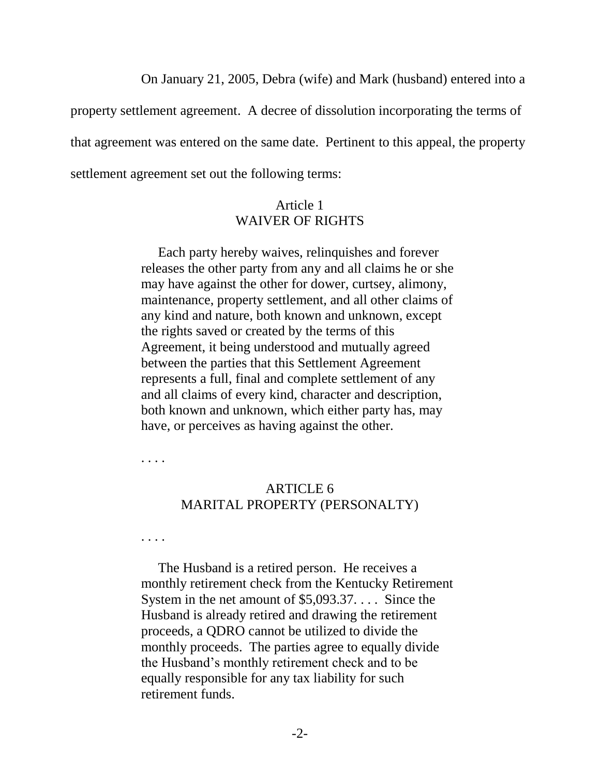On January 21, 2005, Debra (wife) and Mark (husband) entered into a

property settlement agreement. A decree of dissolution incorporating the terms of

that agreement was entered on the same date. Pertinent to this appeal, the property

settlement agreement set out the following terms:

# Article 1 WAIVER OF RIGHTS

 Each party hereby waives, relinquishes and forever releases the other party from any and all claims he or she may have against the other for dower, curtsey, alimony, maintenance, property settlement, and all other claims of any kind and nature, both known and unknown, except the rights saved or created by the terms of this Agreement, it being understood and mutually agreed between the parties that this Settlement Agreement represents a full, final and complete settlement of any and all claims of every kind, character and description, both known and unknown, which either party has, may have, or perceives as having against the other.

. . . .

# ARTICLE 6 MARITAL PROPERTY (PERSONALTY)

. . . .

 The Husband is a retired person. He receives a monthly retirement check from the Kentucky Retirement System in the net amount of \$5,093.37. . . . Since the Husband is already retired and drawing the retirement proceeds, a QDRO cannot be utilized to divide the monthly proceeds. The parties agree to equally divide the Husband's monthly retirement check and to be equally responsible for any tax liability for such retirement funds.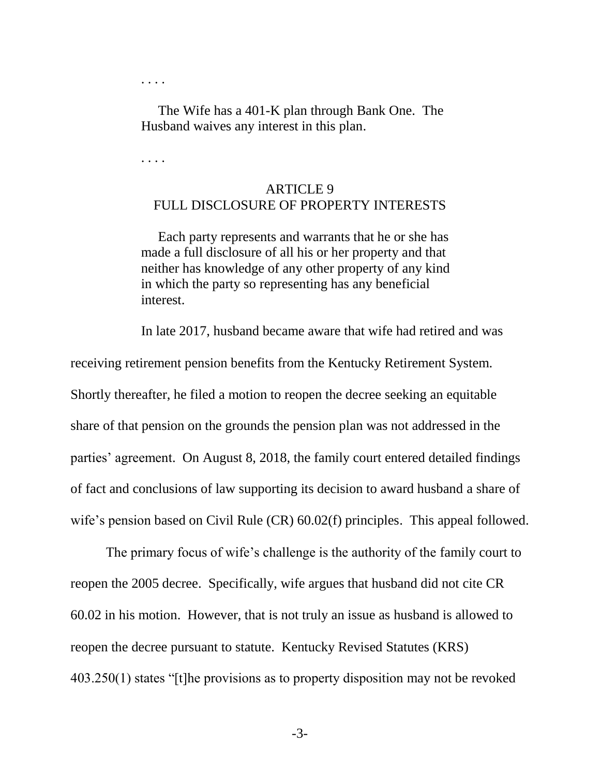. . . .

 The Wife has a 401-K plan through Bank One. The Husband waives any interest in this plan.

. . . .

# ARTICLE 9 FULL DISCLOSURE OF PROPERTY INTERESTS

 Each party represents and warrants that he or she has made a full disclosure of all his or her property and that neither has knowledge of any other property of any kind in which the party so representing has any beneficial interest.

In late 2017, husband became aware that wife had retired and was

receiving retirement pension benefits from the Kentucky Retirement System. Shortly thereafter, he filed a motion to reopen the decree seeking an equitable share of that pension on the grounds the pension plan was not addressed in the parties' agreement. On August 8, 2018, the family court entered detailed findings of fact and conclusions of law supporting its decision to award husband a share of wife's pension based on Civil Rule (CR) 60.02(f) principles. This appeal followed.

The primary focus of wife's challenge is the authority of the family court to reopen the 2005 decree. Specifically, wife argues that husband did not cite CR 60.02 in his motion. However, that is not truly an issue as husband is allowed to reopen the decree pursuant to statute. Kentucky Revised Statutes (KRS) 403.250(1) states "[t]he provisions as to property disposition may not be revoked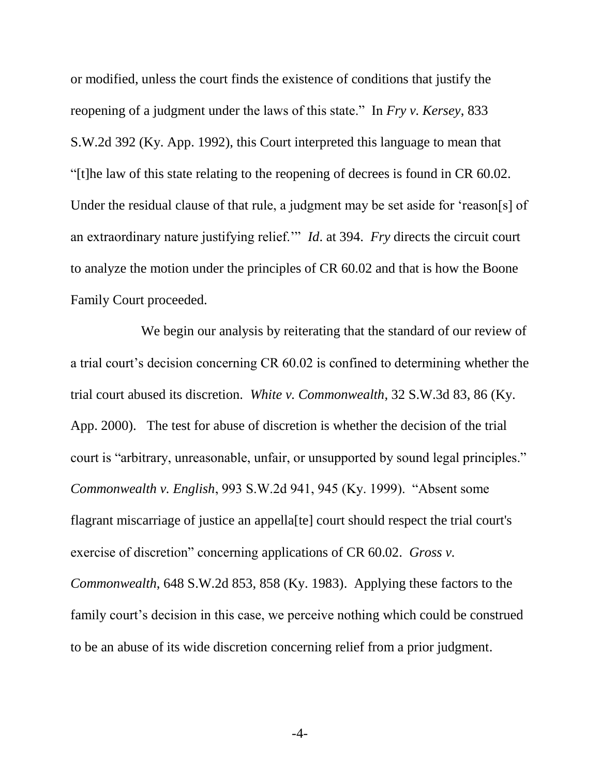or modified, unless the court finds the existence of conditions that justify the reopening of a judgment under the laws of this state." In *Fry v. Kersey*, 833 S.W.2d 392 (Ky. App. 1992), this Court interpreted this language to mean that "[t]he law of this state relating to the reopening of decrees is found in CR 60.02. Under the residual clause of that rule, a judgment may be set aside for 'reason[s] of an extraordinary nature justifying relief.'" *Id*. at 394. *Fry* directs the circuit court to analyze the motion under the principles of CR 60.02 and that is how the Boone Family Court proceeded.

We begin our analysis by reiterating that the standard of our review of a trial court's decision concerning CR 60.02 is confined to determining whether the trial court abused its discretion. *White v. Commonwealth*, 32 S.W.3d 83, 86 (Ky. App. 2000). The test for abuse of discretion is whether the decision of the trial court is "arbitrary, unreasonable, unfair, or unsupported by sound legal principles." *Commonwealth v. English*, 993 S.W.2d 941, 945 (Ky. 1999). "Absent some flagrant miscarriage of justice an appella[te] court should respect the trial court's exercise of discretion" concerning applications of CR 60.02. *Gross v. Commonwealth*, 648 S.W.2d 853, 858 (Ky. 1983). Applying these factors to the family court's decision in this case, we perceive nothing which could be construed to be an abuse of its wide discretion concerning relief from a prior judgment.

-4-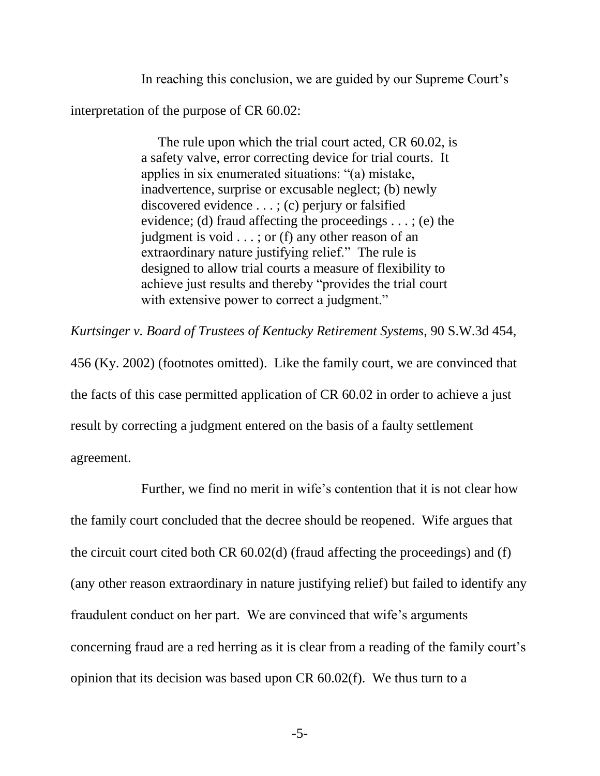In reaching this conclusion, we are guided by our Supreme Court's interpretation of the purpose of CR 60.02:

> The rule upon which the trial court acted, CR 60.02, is a safety valve, error correcting device for trial courts. It applies in six enumerated situations: "(a) mistake, inadvertence, surprise or excusable neglect; (b) newly discovered evidence . . . ; (c) perjury or falsified evidence; (d) fraud affecting the proceedings  $\dots$ ; (e) the judgment is void  $\ldots$ ; or (f) any other reason of an extraordinary nature justifying relief." The rule is designed to allow trial courts a measure of flexibility to achieve just results and thereby "provides the trial court with extensive power to correct a judgment."

*Kurtsinger v. Board of Trustees of Kentucky Retirement Systems*, 90 S.W.3d 454, 456 (Ky. 2002) (footnotes omitted). Like the family court, we are convinced that the facts of this case permitted application of CR 60.02 in order to achieve a just result by correcting a judgment entered on the basis of a faulty settlement agreement.

Further, we find no merit in wife's contention that it is not clear how the family court concluded that the decree should be reopened. Wife argues that the circuit court cited both CR 60.02(d) (fraud affecting the proceedings) and (f) (any other reason extraordinary in nature justifying relief) but failed to identify any fraudulent conduct on her part. We are convinced that wife's arguments concerning fraud are a red herring as it is clear from a reading of the family court's opinion that its decision was based upon CR 60.02(f). We thus turn to a

-5-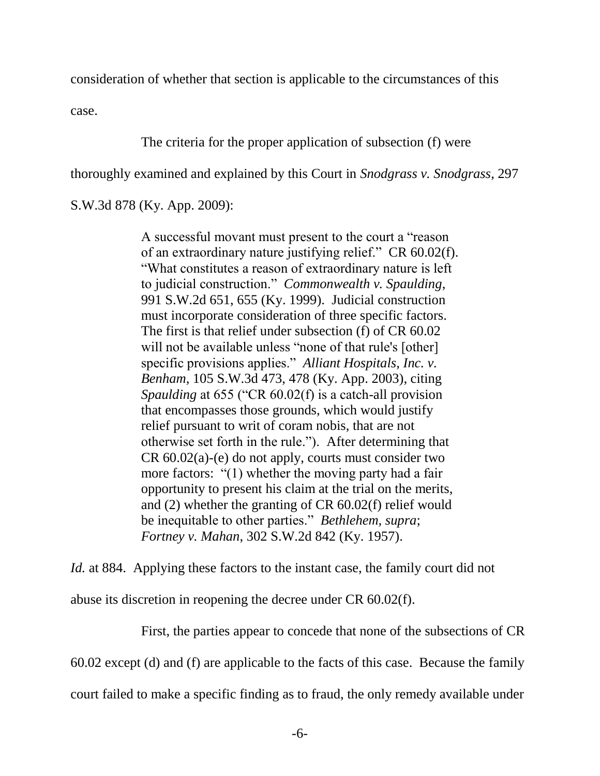consideration of whether that section is applicable to the circumstances of this

case.

The criteria for the proper application of subsection (f) were

thoroughly examined and explained by this Court in *Snodgrass v. Snodgrass*, 297

S.W.3d 878 (Ky. App. 2009):

A successful movant must present to the court a "reason of an extraordinary nature justifying relief." CR 60.02(f). "What constitutes a reason of extraordinary nature is left to judicial construction." *Commonwealth v. Spaulding*, 991 S.W.2d 651, 655 (Ky. 1999). Judicial construction must incorporate consideration of three specific factors. The first is that relief under subsection (f) of CR 60.02 will not be available unless "none of that rule's [other] specific provisions applies." *Alliant Hospitals, Inc. v. Benham,* 105 S.W.3d 473, 478 (Ky. App. 2003), citing *Spaulding* at 655 ("CR 60.02(f) is a catch-all provision that encompasses those grounds, which would justify relief pursuant to writ of coram nobis, that are not otherwise set forth in the rule."). After determining that  $CR\ 60.02(a)-(e)$  do not apply, courts must consider two more factors: "(1) whether the moving party had a fair opportunity to present his claim at the trial on the merits, and (2) whether the granting of CR 60.02(f) relief would be inequitable to other parties." *Bethlehem, supra*; *Fortney v. Mahan*, 302 S.W.2d 842 (Ky. 1957).

*Id.* at 884. Applying these factors to the instant case, the family court did not abuse its discretion in reopening the decree under CR 60.02(f).

First, the parties appear to concede that none of the subsections of CR

60.02 except (d) and (f) are applicable to the facts of this case. Because the family

court failed to make a specific finding as to fraud, the only remedy available under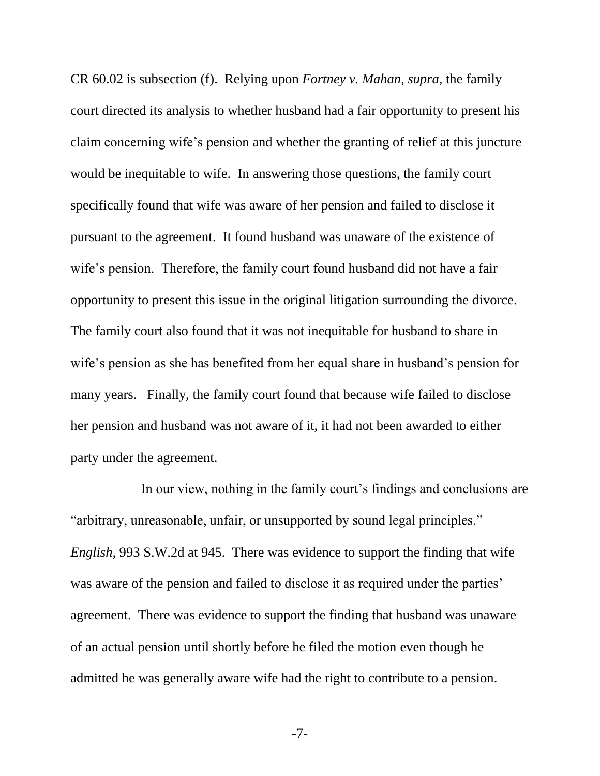CR 60.02 is subsection (f). Relying upon *Fortney v. Mahan*, *supra*, the family court directed its analysis to whether husband had a fair opportunity to present his claim concerning wife's pension and whether the granting of relief at this juncture would be inequitable to wife. In answering those questions, the family court specifically found that wife was aware of her pension and failed to disclose it pursuant to the agreement. It found husband was unaware of the existence of wife's pension. Therefore, the family court found husband did not have a fair opportunity to present this issue in the original litigation surrounding the divorce. The family court also found that it was not inequitable for husband to share in wife's pension as she has benefited from her equal share in husband's pension for many years. Finally, the family court found that because wife failed to disclose her pension and husband was not aware of it, it had not been awarded to either party under the agreement.

In our view, nothing in the family court's findings and conclusions are "arbitrary, unreasonable, unfair, or unsupported by sound legal principles." *English*, 993 S.W.2d at 945. There was evidence to support the finding that wife was aware of the pension and failed to disclose it as required under the parties' agreement. There was evidence to support the finding that husband was unaware of an actual pension until shortly before he filed the motion even though he admitted he was generally aware wife had the right to contribute to a pension.

-7-